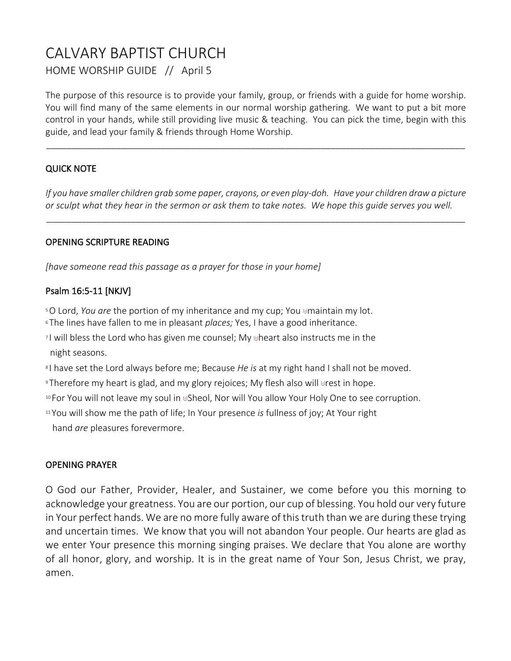# CALVARY BAPTIST CHURCH HOME WORSHIP GUIDE // April 5

The purpose of this resource is to provide your family, group, or friends with a guide for home worship. You will find many of the same elements in our normal worship gathering. We want to put a bit more control in your hands, while still providing live music & teaching. You can pick the time, begin with this guide, and lead your family & friends through Home Worship.

\_\_\_\_\_\_\_\_\_\_\_\_\_\_\_\_\_\_\_\_\_\_\_\_\_\_\_\_\_\_\_\_\_\_\_\_\_\_\_\_\_\_\_\_\_\_\_\_\_\_\_\_\_\_\_\_\_\_\_\_\_\_\_\_\_\_\_\_\_\_\_\_\_\_\_\_\_\_\_\_\_\_\_\_

### QUICK NOTE

If you have smaller children grab some paper, crayons, or even play-doh. Have your children draw a picture or sculpt what they hear in the sermon or ask them to take notes. We hope this quide serves you well.

\_\_\_\_\_\_\_\_\_\_\_\_\_\_\_\_\_\_\_\_\_\_\_\_\_\_\_\_\_\_\_\_\_\_\_\_\_\_\_\_\_\_\_\_\_\_\_\_\_\_\_\_\_\_\_\_\_\_\_\_\_\_\_\_\_\_\_\_\_\_\_\_\_\_\_\_\_\_\_\_\_\_\_\_

### OPENING SCRIPTURE READING

*[have someone read this passage as a prayer for those in your home]*

### Psalm 16:5-11 [NKJV]

- <sup>5</sup>O Lord, *You are* the portion of my inheritance and my cup; You <sup>dmaintain my lot.</sup>
- <sup>6</sup> The lines have fallen to me in pleasant *places;* Yes, I have a good inheritance.
- <sup>7</sup>I will bless the Lord who has given me counsel; My <sup>b</sup>heart also instructs me in the night seasons.
- <sup>8</sup> I have set the Lord always before me; Because *He is* at my right hand I shall not be moved.
- <sup>9</sup>Therefore my heart is glad, and my glory rejoices; My flesh also will **erest in hope.**
- 10 For You will not leave my soul in dSheol, Nor will You allow Your Holy One to see corruption.
- <sup>11</sup> You will show me the path of life; In Your presence *is* fullness of joy; At Your right hand *are* pleasures forevermore.

### OPENING PRAYER

O God our Father, Provider, Healer, and Sustainer, we come before you this morning to acknowledge your greatness. You are our portion, our cup of blessing. You hold our very future in Your perfect hands. We are no more fully aware of this truth than we are during these trying and uncertain times. We know that you will not abandon Your people. Our hearts are glad as we enter Your presence this morning singing praises. We declare that You alone are worthy of all honor, glory, and worship. It is in the great name of Your Son, Jesus Christ, we pray, amen.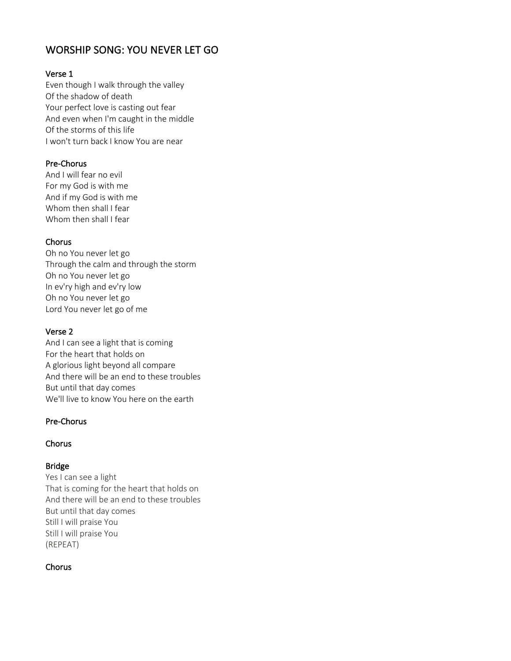# WORSHIP SONG: YOU NEVER LET GO

### Verse 1

Even though I walk through the valley Of the shadow of death Your perfect love is casting out fear And even when I'm caught in the middle Of the storms of this life I won't turn back I know You are near

### Pre-Chorus

And I will fear no evil For my God is with me And if my God is with me Whom then shall I fear Whom then shall I fear

### Chorus

Oh no You never let go Through the calm and through the storm Oh no You never let go In ev'ry high and ev'ry low Oh no You never let go Lord You never let go of me

### Verse 2

And I can see a light that is coming For the heart that holds on A glorious light beyond all compare And there will be an end to these troubles But until that day comes We'll live to know You here on the earth

### Pre-Chorus

### Chorus

### Bridge

Yes I can see a light That is coming for the heart that holds on And there will be an end to these troubles But until that day comes Still I will praise You Still I will praise You (REPEAT)

### **Chorus**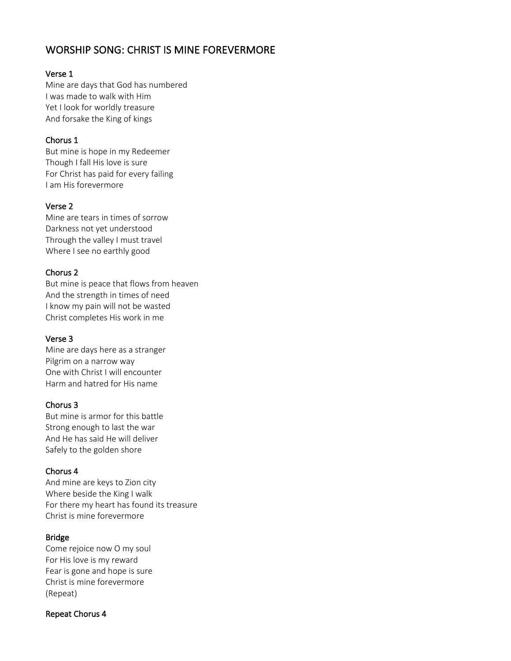# WORSHIP SONG: CHRIST IS MINE FOREVERMORE

#### Verse 1

Mine are days that God has numbered I was made to walk with Him Yet I look for worldly treasure And forsake the King of kings

### Chorus 1

But mine is hope in my Redeemer Though I fall His love is sure For Christ has paid for every failing I am His forevermore

### Verse 2

Mine are tears in times of sorrow Darkness not yet understood Through the valley I must travel Where I see no earthly good

### Chorus 2

But mine is peace that flows from heaven And the strength in times of need I know my pain will not be wasted Christ completes His work in me

### Verse 3

Mine are days here as a stranger Pilgrim on a narrow way One with Christ I will encounter Harm and hatred for His name

### Chorus 3

But mine is armor for this battle Strong enough to last the war And He has said He will deliver Safely to the golden shore

### Chorus 4

And mine are keys to Zion city Where beside the King I walk For there my heart has found its treasure Christ is mine forevermore

### Bridge

Come rejoice now O my soul For His love is my reward Fear is gone and hope is sure Christ is mine forevermore (Repeat)

### Repeat Chorus 4